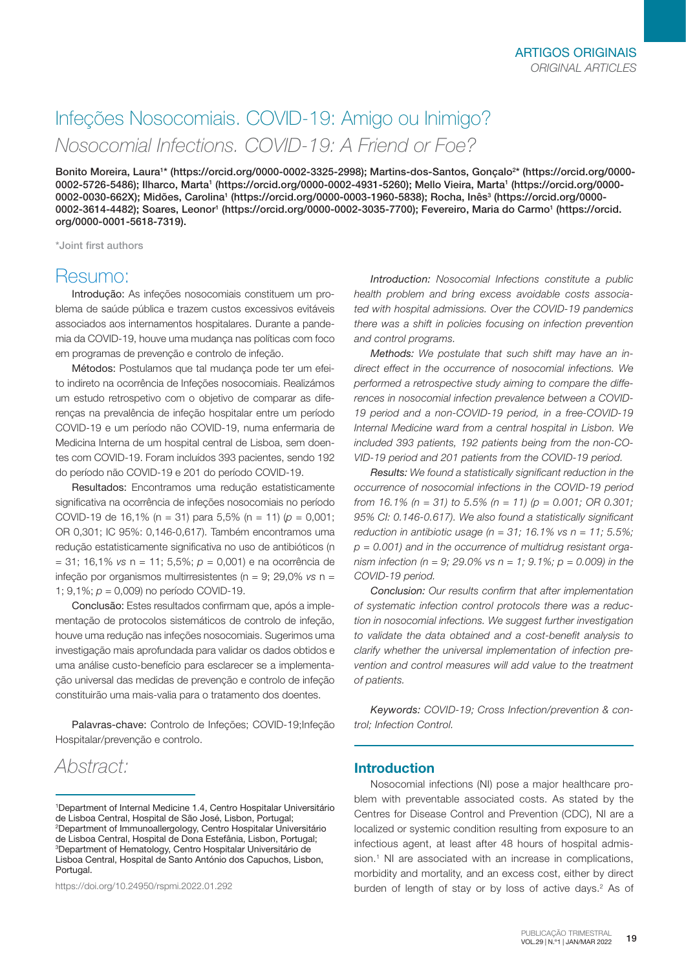# Infeções Nosocomiais. COVID-19: Amigo ou Inimigo? *Nosocomial Infections. COVID-19: A Friend or Foe?*

Bonito Moreira, Laura1\* (https://orcid.org/0000-0002-3325-2998); Martins-dos-Santos, Gonçalo<sup>2</sup>\* (https://orcid.org/0000-0002-5726-5486); Ilharco, Marta1 (https://orcid.org/0000-0002-4931-5260); Mello Vieira, Marta1 (https://orcid.org/0000-0002-0030-662X); Midões, Carolina<sup>1</sup> (https://orcid.org/0000-0003-1960-5838); Rocha, Inês<sup>3</sup> (https://orcid.org/0000-0002-3614-4482); Soares, Leonor' (https://orcid.org/0000-0002-3035-7700); Fevereiro, Maria do Carmo' (https://orcid. org/0000-0001-5618-7319).

\*Joint first authors

### Resumo:

Introdução: As infeções nosocomiais constituem um problema de saúde pública e trazem custos excessivos evitáveis associados aos internamentos hospitalares. Durante a pandemia da COVID-19, houve uma mudança nas políticas com foco em programas de prevenção e controlo de infeção.

Métodos: Postulamos que tal mudança pode ter um efeito indireto na ocorrência de Infeções nosocomiais. Realizámos um estudo retrospetivo com o objetivo de comparar as diferenças na prevalência de infeção hospitalar entre um período COVID-19 e um período não COVID-19, numa enfermaria de Medicina Interna de um hospital central de Lisboa, sem doentes com COVID-19. Foram incluídos 393 pacientes, sendo 192 do período não COVID-19 e 201 do período COVID-19.

Resultados: Encontramos uma redução estatisticamente significativa na ocorrência de infeções nosocomiais no período COVID-19 de 16,1% (n = 31) para 5,5% (n = 11) (*p* = 0,001; OR 0,301; IC 95%: 0,146-0,617). Também encontramos uma redução estatisticamente significativa no uso de antibióticos (n = 31; 16,1% *vs* n = 11; 5,5%; *p* = 0,001) e na ocorrência de infeção por organismos multirresistentes (n = 9; 29,0% *vs* n = 1; 9,1%; *p* = 0,009) no período COVID-19.

Conclusão: Estes resultados confirmam que, após a implementação de protocolos sistemáticos de controlo de infeção, houve uma redução nas infeções nosocomiais. Sugerimos uma investigação mais aprofundada para validar os dados obtidos e uma análise custo-benefício para esclarecer se a implementação universal das medidas de prevenção e controlo de infeção constituirão uma mais-valia para o tratamento dos doentes.

Palavras-chave: Controlo de Infeções; COVID-19; Infeção Hospitalar/prevenção e controlo.

## *Abstract:*

https://doi.org/10.24950/rspmi.2022.01.292

*Introduction: Nosocomial Infections constitute a public health problem and bring excess avoidable costs associated with hospital admissions. Over the COVID-19 pandemics there was a shift in policies focusing on infection prevention and control programs.* 

*Methods: We postulate that such shift may have an indirect effect in the occurrence of nosocomial infections. We performed a retrospective study aiming to compare the differences in nosocomial infection prevalence between a COVID-19 period and a non-COVID-19 period, in a free-COVID-19 Internal Medicine ward from a central hospital in Lisbon. We included 393 patients, 192 patients being from the non-CO-VID-19 period and 201 patients from the COVID-19 period.* 

*Results: We found a statistically significant reduction in the occurrence of nosocomial infections in the COVID-19 period from 16.1% (n = 31) to 5.5% (n = 11) (p = 0.001; OR 0.301; 95% CI: 0.146-0.617). We also found a statistically significant reduction in antibiotic usage (n = 31; 16.1% vs n = 11; 5.5%; p = 0.001) and in the occurrence of multidrug resistant organism infection (n = 9; 29.0% vs n = 1; 9.1%; p = 0.009) in the COVID-19 period.* 

*Conclusion: Our results confirm that after implementation of systematic infection control protocols there was a reduction in nosocomial infections. We suggest further investigation to validate the data obtained and a cost-benefit analysis to clarify whether the universal implementation of infection prevention and control measures will add value to the treatment of patients.*

*Keywords: COVID-19; Cross Infection/prevention & control; Infection Control.*

#### Introduction

Nosocomial infections (NI) pose a major healthcare problem with preventable associated costs. As stated by the Centres for Disease Control and Prevention (CDC), NI are a localized or systemic condition resulting from exposure to an infectious agent, at least after 48 hours of hospital admission.<sup>1</sup> NI are associated with an increase in complications, morbidity and mortality, and an excess cost, either by direct burden of length of stay or by loss of active days.<sup>2</sup> As of

<sup>1</sup> Department of Internal Medicine 1.4, Centro Hospitalar Universitário de Lisboa Central, Hospital de São José, Lisbon, Portugal; 2 Department of Immunoallergology, Centro Hospitalar Universitário de Lisboa Central, Hospital de Dona Estefânia, Lisbon, Portugal; 3 Department of Hematology, Centro Hospitalar Universitário de Lisboa Central, Hospital de Santo António dos Capuchos, Lisbon, Portugal.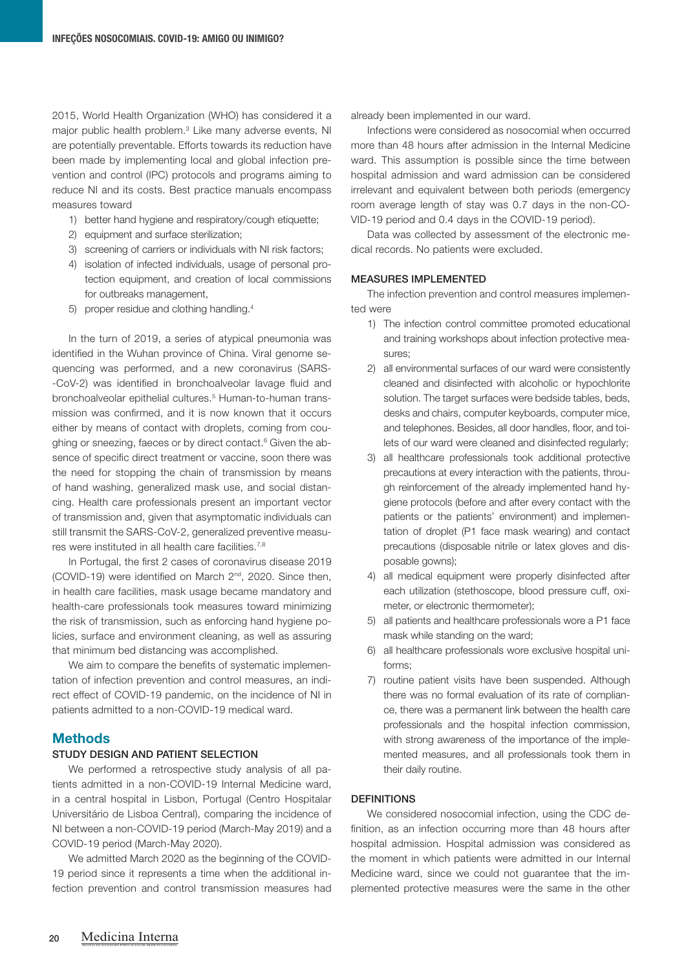2015, World Health Organization (WHO) has considered it a major public health problem.3 Like many adverse events, NI are potentially preventable. Efforts towards its reduction have been made by implementing local and global infection prevention and control (IPC) protocols and programs aiming to reduce NI and its costs. Best practice manuals encompass measures toward

- 1) better hand hygiene and respiratory/cough etiquette;
- 2) equipment and surface sterilization;
- 3) screening of carriers or individuals with NI risk factors;
- 4) isolation of infected individuals, usage of personal protection equipment, and creation of local commissions for outbreaks management,
- 5) proper residue and clothing handling.4

In the turn of 2019, a series of atypical pneumonia was identified in the Wuhan province of China. Viral genome sequencing was performed, and a new coronavirus (SARS- -CoV-2) was identified in bronchoalveolar lavage fluid and bronchoalveolar epithelial cultures.<sup>5</sup> Human-to-human transmission was confirmed, and it is now known that it occurs either by means of contact with droplets, coming from coughing or sneezing, faeces or by direct contact.<sup>6</sup> Given the absence of specific direct treatment or vaccine, soon there was the need for stopping the chain of transmission by means of hand washing, generalized mask use, and social distancing. Health care professionals present an important vector of transmission and, given that asymptomatic individuals can still transmit the SARS-CoV-2, generalized preventive measures were instituted in all health care facilities.7,8

In Portugal, the first 2 cases of coronavirus disease 2019 (COVID-19) were identified on March 2nd, 2020. Since then, in health care facilities, mask usage became mandatory and health-care professionals took measures toward minimizing the risk of transmission, such as enforcing hand hygiene policies, surface and environment cleaning, as well as assuring that minimum bed distancing was accomplished.

We aim to compare the benefits of systematic implementation of infection prevention and control measures, an indirect effect of COVID-19 pandemic, on the incidence of NI in patients admitted to a non-COVID-19 medical ward.

#### **Methods**

#### STUDY DESIGN AND PATIENT SELECTION

We performed a retrospective study analysis of all patients admitted in a non-COVID-19 Internal Medicine ward, in a central hospital in Lisbon, Portugal (Centro Hospitalar Universitário de Lisboa Central), comparing the incidence of NI between a non-COVID-19 period (March-May 2019) and a COVID-19 period (March-May 2020).

We admitted March 2020 as the beginning of the COVID-19 period since it represents a time when the additional infection prevention and control transmission measures had

already been implemented in our ward.

Infections were considered as nosocomial when occurred more than 48 hours after admission in the Internal Medicine ward. This assumption is possible since the time between hospital admission and ward admission can be considered irrelevant and equivalent between both periods (emergency room average length of stay was 0.7 days in the non-CO-VID-19 period and 0.4 days in the COVID-19 period).

Data was collected by assessment of the electronic medical records. No patients were excluded.

#### MEASURES IMPLEMENTED

The infection prevention and control measures implemented were

- 1) The infection control committee promoted educational and training workshops about infection protective measures;
- 2) all environmental surfaces of our ward were consistently cleaned and disinfected with alcoholic or hypochlorite solution. The target surfaces were bedside tables, beds, desks and chairs, computer keyboards, computer mice, and telephones. Besides, all door handles, floor, and toilets of our ward were cleaned and disinfected regularly;
- 3) all healthcare professionals took additional protective precautions at every interaction with the patients, through reinforcement of the already implemented hand hygiene protocols (before and after every contact with the patients or the patients' environment) and implementation of droplet (P1 face mask wearing) and contact precautions (disposable nitrile or latex gloves and disposable gowns);
- 4) all medical equipment were properly disinfected after each utilization (stethoscope, blood pressure cuff, oximeter, or electronic thermometer);
- 5) all patients and healthcare professionals wore a P1 face mask while standing on the ward;
- 6) all healthcare professionals wore exclusive hospital uniforms;
- 7) routine patient visits have been suspended. Although there was no formal evaluation of its rate of compliance, there was a permanent link between the health care professionals and the hospital infection commission, with strong awareness of the importance of the implemented measures, and all professionals took them in their daily routine.

#### **DEFINITIONS**

We considered nosocomial infection, using the CDC definition, as an infection occurring more than 48 hours after hospital admission. Hospital admission was considered as the moment in which patients were admitted in our Internal Medicine ward, since we could not guarantee that the implemented protective measures were the same in the other

REVISTA DA SOCIEDADE PORTUGUESA DE MEDICINA INTERNA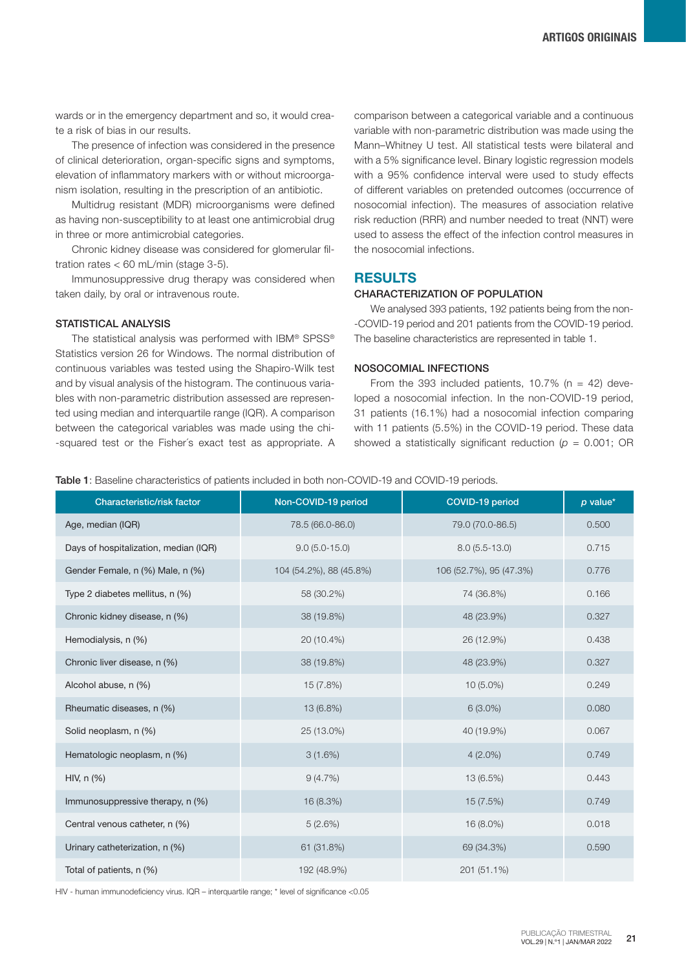wards or in the emergency department and so, it would create a risk of bias in our results.

The presence of infection was considered in the presence of clinical deterioration, organ-specific signs and symptoms, elevation of inflammatory markers with or without microorganism isolation, resulting in the prescription of an antibiotic.

Multidrug resistant (MDR) microorganisms were defined as having non-susceptibility to at least one antimicrobial drug in three or more antimicrobial categories.

Chronic kidney disease was considered for glomerular filtration rates < 60 mL/min (stage 3-5).

Immunosuppressive drug therapy was considered when taken daily, by oral or intravenous route.

#### STATISTICAL ANALYSIS

The statistical analysis was performed with IBM® SPSS® Statistics version 26 for Windows. The normal distribution of continuous variables was tested using the Shapiro-Wilk test and by visual analysis of the histogram. The continuous variables with non-parametric distribution assessed are represented using median and interquartile range (IQR). A comparison between the categorical variables was made using the chi- -squared test or the Fisher´s exact test as appropriate. A

comparison between a categorical variable and a continuous variable with non-parametric distribution was made using the Mann–Whitney U test. All statistical tests were bilateral and with a 5% significance level. Binary logistic regression models with a 95% confidence interval were used to study effects of different variables on pretended outcomes (occurrence of nosocomial infection). The measures of association relative risk reduction (RRR) and number needed to treat (NNT) were used to assess the effect of the infection control measures in the nosocomial infections.

#### RESULTS

#### CHARACTERIZATION OF POPULATION

We analysed 393 patients, 192 patients being from the non- -COVID-19 period and 201 patients from the COVID-19 period. The baseline characteristics are represented in table 1.

#### NOSOCOMIAL INFECTIONS

From the 393 included patients, 10.7% ( $n = 42$ ) developed a nosocomial infection. In the non-COVID-19 period, 31 patients (16.1%) had a nosocomial infection comparing with 11 patients (5.5%) in the COVID-19 period. These data showed a statistically significant reduction  $(p = 0.001; \text{ OR})$ 

Table 1: Baseline characteristics of patients included in both non-COVID-19 and COVID-19 periods.

| <b>Characteristic/risk factor</b>     | Non-COVID-19 period<br>COVID-19 period |                         | $p$ value* |
|---------------------------------------|----------------------------------------|-------------------------|------------|
| Age, median (IQR)                     | 78.5 (66.0-86.0)                       | 79.0 (70.0-86.5)        | 0.500      |
| Days of hospitalization, median (IQR) | $9.0(5.0-15.0)$                        | $8.0(5.5-13.0)$         | 0.715      |
| Gender Female, n (%) Male, n (%)      | 104 (54.2%), 88 (45.8%)                | 106 (52.7%), 95 (47.3%) | 0.776      |
| Type 2 diabetes mellitus, n (%)       | 58 (30.2%)                             | 74 (36.8%)              | 0.166      |
| Chronic kidney disease, n (%)         | 38 (19.8%)                             | 48 (23.9%)              | 0.327      |
| Hemodialysis, n (%)                   | 20 (10.4%)                             | 26 (12.9%)              | 0.438      |
| Chronic liver disease, n (%)          | 38 (19.8%)                             | 48 (23.9%)              | 0.327      |
| Alcohol abuse, n (%)                  | 15 (7.8%)                              | $10(5.0\%)$             | 0.249      |
| Rheumatic diseases, n (%)             | 13 (6.8%)                              | $6(3.0\%)$              | 0.080      |
| Solid neoplasm, n (%)                 | 25 (13.0%)                             | 40 (19.9%)              | 0.067      |
| Hematologic neoplasm, n (%)           | 3(1.6%)                                | $4(2.0\%)$              | 0.749      |
| HIV, $n$ $(\%)$                       | 9(4.7%)                                | 13 (6.5%)               | 0.443      |
| Immunosuppressive therapy, n (%)      | 16 (8.3%)                              | 15 (7.5%)               | 0.749      |
| Central venous catheter, n (%)        | 5(2.6%)                                | 16 (8.0%)               | 0.018      |
| Urinary catheterization, n (%)        | 61 (31.8%)                             | 69 (34.3%)              | 0.590      |
| Total of patients, n (%)              | 192 (48.9%)                            | 201 (51.1%)             |            |

HIV - human immunodeficiency virus. IQR – interquartile range; \* level of significance <0.05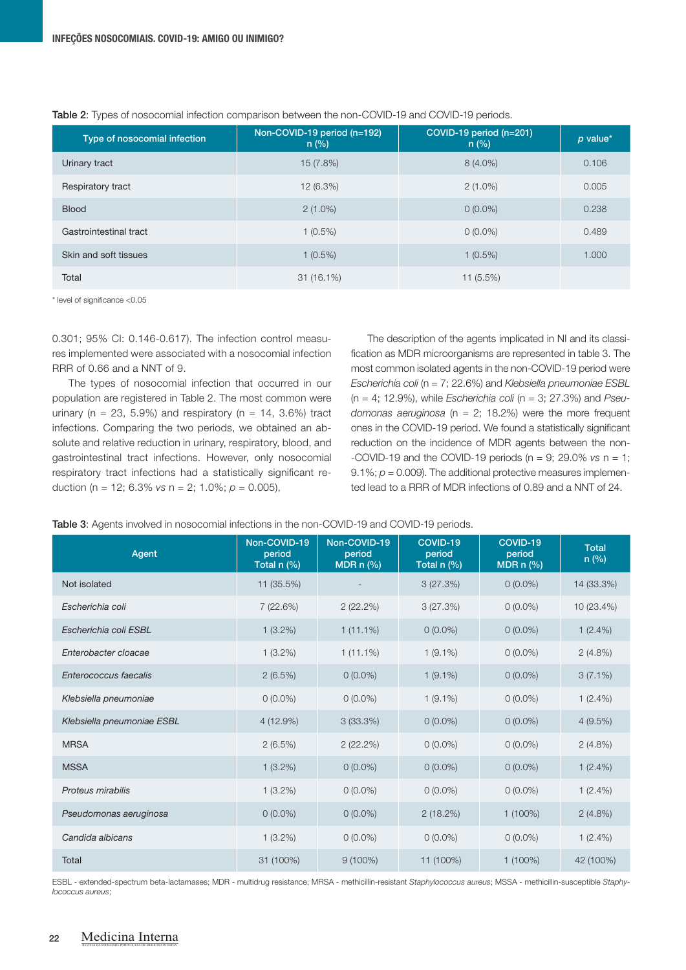| Type of nosocomial infection | Non-COVID-19 period (n=192)<br>n (%) | COVID-19 period $(n=201)$<br>n(%) | $p$ value* |
|------------------------------|--------------------------------------|-----------------------------------|------------|
| Urinary tract                | 15(7.8%)                             | $8(4.0\%)$                        | 0.106      |
| Respiratory tract            | 12(6.3%)                             | $2(1.0\%)$                        | 0.005      |
| <b>Blood</b>                 | $2(1.0\%)$                           | $0(0.0\%)$                        | 0.238      |
| Gastrointestinal tract       | $1(0.5\%)$                           | $0(0.0\%)$                        | 0.489      |
| Skin and soft tissues        | $1(0.5\%)$                           | $1(0.5\%)$                        | 1.000      |
| Total                        | $31(16.1\%)$                         | 11(5.5%)                          |            |

#### Table 2: Types of nosocomial infection comparison between the non-COVID-19 and COVID-19 periods.

\* level of significance <0.05

0.301; 95% CI: 0.146-0.617). The infection control measures implemented were associated with a nosocomial infection RRR of 0.66 and a NNT of 9.

The types of nosocomial infection that occurred in our population are registered in Table 2. The most common were urinary ( $n = 23, 5.9\%$ ) and respiratory ( $n = 14, 3.6\%$ ) tract infections. Comparing the two periods, we obtained an absolute and relative reduction in urinary, respiratory, blood, and gastrointestinal tract infections. However, only nosocomial respiratory tract infections had a statistically significant reduction (n = 12; 6.3% *vs* n = 2; 1.0%; *p* = 0.005),

The description of the agents implicated in NI and its classification as MDR microorganisms are represented in table 3. The most common isolated agents in the non-COVID-19 period were *Escherichia coli* (n = 7; 22.6%) and *Klebsiella pneumoniae ESBL* (n = 4; 12.9%), while *Escherichia coli* (n = 3; 27.3%) and *Pseudomonas aeruginosa* (n = 2; 18.2%) were the more frequent ones in the COVID-19 period. We found a statistically significant reduction on the incidence of MDR agents between the non- -COVID-19 and the COVID-19 periods (n = 9; 29.0% *vs* n = 1; 9.1%;  $p = 0.009$ ). The additional protective measures implemented lead to a RRR of MDR infections of 0.89 and a NNT of 24.

| Table 3: Agents involved in nosocomial infections in the non-COVID-19 and COVID-19 periods. |  |  |
|---------------------------------------------------------------------------------------------|--|--|
|---------------------------------------------------------------------------------------------|--|--|

| Agent                      | Non-COVID-19<br>period<br>Total n (%) | Non-COVID-19<br>period<br>MDR $n$ (%) | COVID-19<br>period<br>Total n (%) | COVID-19<br>period<br>MDR $n$ (%) | <b>Total</b><br>n(%) |
|----------------------------|---------------------------------------|---------------------------------------|-----------------------------------|-----------------------------------|----------------------|
| Not isolated               | 11 (35.5%)                            |                                       | 3(27.3%)                          | $0(0.0\%)$                        | 14 (33.3%)           |
| Escherichia coli           | 7 (22.6%)                             | 2(22.2%)                              | 3(27.3%)                          | $0(0.0\%)$                        | 10 (23.4%)           |
| Escherichia coli ESBL      | $1(3.2\%)$                            | $1(11.1\%)$                           | $0(0.0\%)$                        | $0(0.0\%)$                        | $1(2.4\%)$           |
| Enterobacter cloacae       | $1(3.2\%)$                            | $1(11.1\%)$                           | $1(9.1\%)$                        | $0(0.0\%)$                        | $2(4.8\%)$           |
| Enterococcus faecalis      | 2(6.5%)                               | $0(0.0\%)$                            | $1(9.1\%)$                        | $0(0.0\%)$                        | $3(7.1\%)$           |
| Klebsiella pneumoniae      | $0(0.0\%)$                            | $0(0.0\%)$                            | $1(9.1\%)$                        | $0(0.0\%)$                        | $1(2.4\%)$           |
| Klebsiella pneumoniae ESBL | $4(12.9\%)$                           | 3(33.3%)                              | $0(0.0\%)$                        | $0(0.0\%)$                        | 4(9.5%)              |
| <b>MRSA</b>                | 2(6.5%)                               | 2(22.2%)                              | $0(0.0\%)$                        | $0(0.0\%)$                        | $2(4.8\%)$           |
| <b>MSSA</b>                | $1(3.2\%)$                            | $0(0.0\%)$                            | $0(0.0\%)$                        | $0(0.0\%)$                        | $1(2.4\%)$           |
| Proteus mirabilis          | $1(3.2\%)$                            | $0(0.0\%)$                            | $0(0.0\%)$                        | $0(0.0\%)$                        | $1(2.4\%)$           |
| Pseudomonas aeruginosa     | $0(0.0\%)$                            | $0(0.0\%)$                            | 2(18.2%)                          | $1(100\%)$                        | 2(4.8%)              |
| Candida albicans           | $1(3.2\%)$                            | $0(0.0\%)$                            | $0(0.0\%)$                        | $0(0.0\%)$                        | $1(2.4\%)$           |
| Total                      | 31 (100%)                             | $9(100\%)$                            | 11 (100%)                         | $1(100\%)$                        | 42 (100%)            |

ESBL - extended-spectrum beta-lactamases; MDR - multidrug resistance; MRSA - methicillin-resistant *Staphylococcus aureus*; MSSA - methicillin-susceptible *Staphylococcus aureus*;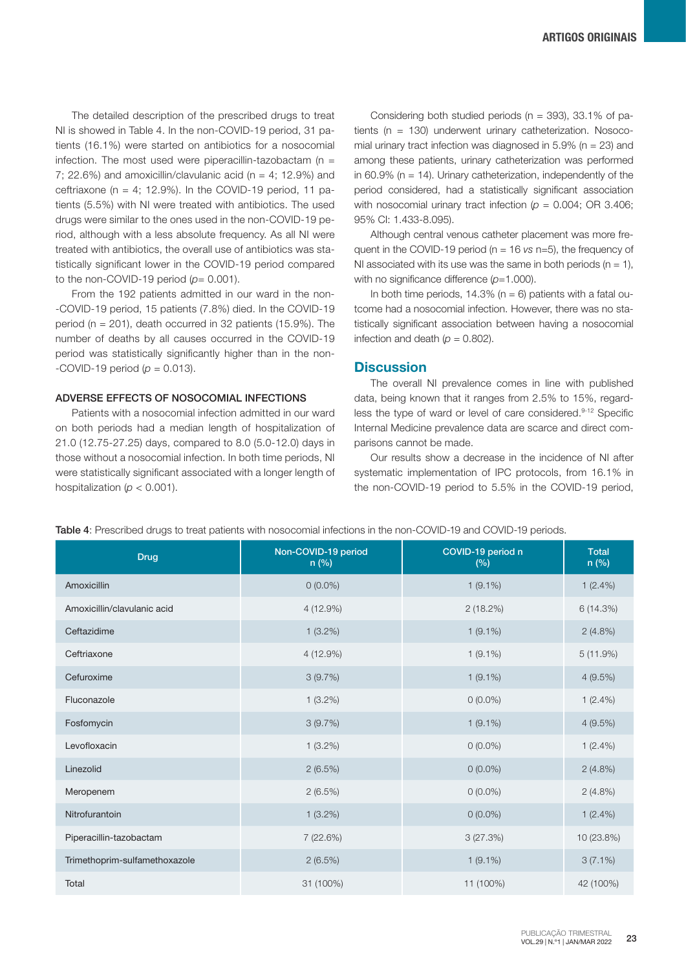The detailed description of the prescribed drugs to treat NI is showed in Table 4. In the non-COVID-19 period, 31 patients (16.1%) were started on antibiotics for a nosocomial infection. The most used were piperacillin-tazobactam ( $n =$ 7; 22.6%) and amoxicillin/clavulanic acid ( $n = 4$ ; 12.9%) and ceftriaxone ( $n = 4$ ; 12.9%). In the COVID-19 period, 11 patients (5.5%) with NI were treated with antibiotics. The used drugs were similar to the ones used in the non-COVID-19 period, although with a less absolute frequency. As all NI were treated with antibiotics, the overall use of antibiotics was statistically significant lower in the COVID-19 period compared to the non-COVID-19 period  $(p= 0.001)$ .

From the 192 patients admitted in our ward in the non- -COVID-19 period, 15 patients (7.8%) died. In the COVID-19 period ( $n = 201$ ), death occurred in 32 patients (15.9%). The number of deaths by all causes occurred in the COVID-19 period was statistically significantly higher than in the non-  $-COVID-19$  period ( $p = 0.013$ ).

#### ADVERSE EFFECTS OF NOSOCOMIAL INFECTIONS

Patients with a nosocomial infection admitted in our ward on both periods had a median length of hospitalization of 21.0 (12.75-27.25) days, compared to 8.0 (5.0-12.0) days in those without a nosocomial infection. In both time periods, NI were statistically significant associated with a longer length of hospitalization (*p* < 0.001).

Considering both studied periods ( $n = 393$ ), 33.1% of patients (n = 130) underwent urinary catheterization. Nosocomial urinary tract infection was diagnosed in 5.9% ( $n = 23$ ) and among these patients, urinary catheterization was performed in 60.9% ( $n = 14$ ). Urinary catheterization, independently of the period considered, had a statistically significant association with nosocomial urinary tract infection  $(p = 0.004; \text{ OR } 3.406;$ 95% CI: 1.433-8.095).

Although central venous catheter placement was more frequent in the COVID-19 period (n = 16 *vs* n=5), the frequency of NI associated with its use was the same in both periods ( $n = 1$ ), with no significance difference (*p*=1.000).

In both time periods,  $14.3\%$  (n = 6) patients with a fatal outcome had a nosocomial infection. However, there was no statistically significant association between having a nosocomial infection and death  $(p = 0.802)$ .

#### **Discussion**

The overall NI prevalence comes in line with published data, being known that it ranges from 2.5% to 15%, regardless the type of ward or level of care considered.9-12 Specific Internal Medicine prevalence data are scarce and direct comparisons cannot be made.

Our results show a decrease in the incidence of NI after systematic implementation of IPC protocols, from 16.1% in the non-COVID-19 period to 5.5% in the COVID-19 period,

| <b>Drug</b>                   | Non-COVID-19 period<br>n (%) | COVID-19 period n<br>(% ) | <b>Total</b><br>$n$ (%) |
|-------------------------------|------------------------------|---------------------------|-------------------------|
| Amoxicillin                   | $0(0.0\%)$                   | $1(9.1\%)$                | $1(2.4\%)$              |
| Amoxicillin/clavulanic acid   | 4 (12.9%)                    | 2(18.2%)                  | 6(14.3%)                |
| Ceftazidime                   | $1(3.2\%)$                   | $1(9.1\%)$                | $2(4.8\%)$              |
| Ceftriaxone                   | 4 (12.9%)                    | $1(9.1\%)$                | 5(11.9%)                |
| Cefuroxime                    | 3(9.7%)                      | $1(9.1\%)$                | 4(9.5%)                 |
| Fluconazole                   | $1(3.2\%)$                   | $0(0.0\%)$                | $1(2.4\%)$              |
| Fosfomycin                    | 3(9.7%)                      | $1(9.1\%)$                | 4(9.5%)                 |
| Levofloxacin                  | $1(3.2\%)$                   | $0(0.0\%)$                | $1(2.4\%)$              |
| Linezolid                     | 2(6.5%)                      | $0(0.0\%)$                | 2(4.8%)                 |
| Meropenem                     | 2(6.5%)                      | $0(0.0\%)$                | $2(4.8\%)$              |
| Nitrofurantoin                | $1(3.2\%)$                   | $0(0.0\%)$                | $1(2.4\%)$              |
| Piperacillin-tazobactam       | 7 (22.6%)                    | 3(27.3%)                  | 10 (23.8%)              |
| Trimethoprim-sulfamethoxazole | 2(6.5%)                      | $1(9.1\%)$                | $3(7.1\%)$              |
| Total                         | 31 (100%)                    | 11 (100%)                 | 42 (100%)               |

Table 4: Prescribed drugs to treat patients with nosocomial infections in the non-COVID-19 and COVID-19 periods.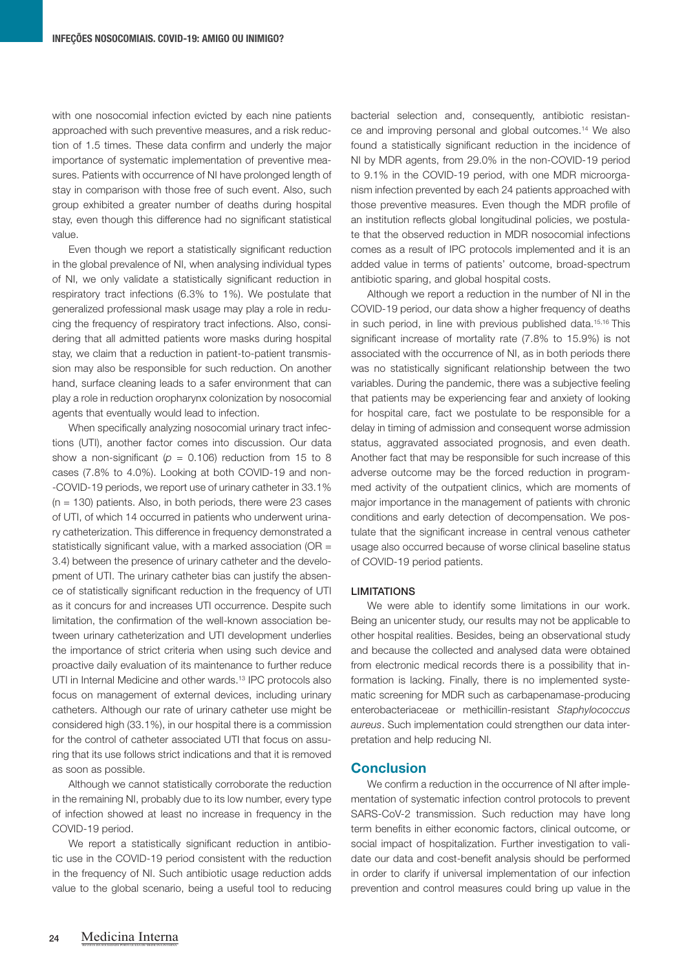with one nosocomial infection evicted by each nine patients approached with such preventive measures, and a risk reduction of 1.5 times. These data confirm and underly the major importance of systematic implementation of preventive measures. Patients with occurrence of NI have prolonged length of stay in comparison with those free of such event. Also, such group exhibited a greater number of deaths during hospital stay, even though this difference had no significant statistical value.

Even though we report a statistically significant reduction in the global prevalence of NI, when analysing individual types of NI, we only validate a statistically significant reduction in respiratory tract infections (6.3% to 1%). We postulate that generalized professional mask usage may play a role in reducing the frequency of respiratory tract infections. Also, considering that all admitted patients wore masks during hospital stay, we claim that a reduction in patient-to-patient transmission may also be responsible for such reduction. On another hand, surface cleaning leads to a safer environment that can play a role in reduction oropharynx colonization by nosocomial agents that eventually would lead to infection.

When specifically analyzing nosocomial urinary tract infections (UTI), another factor comes into discussion. Our data show a non-significant ( $p = 0.106$ ) reduction from 15 to 8 cases (7.8% to 4.0%). Looking at both COVID-19 and non- -COVID-19 periods, we report use of urinary catheter in 33.1%  $(n = 130)$  patients. Also, in both periods, there were 23 cases of UTI, of which 14 occurred in patients who underwent urinary catheterization. This difference in frequency demonstrated a statistically significant value, with a marked association (OR = 3.4) between the presence of urinary catheter and the development of UTI. The urinary catheter bias can justify the absence of statistically significant reduction in the frequency of UTI as it concurs for and increases UTI occurrence. Despite such limitation, the confirmation of the well-known association between urinary catheterization and UTI development underlies the importance of strict criteria when using such device and proactive daily evaluation of its maintenance to further reduce UTI in Internal Medicine and other wards.<sup>13</sup> IPC protocols also focus on management of external devices, including urinary catheters. Although our rate of urinary catheter use might be considered high (33.1%), in our hospital there is a commission for the control of catheter associated UTI that focus on assuring that its use follows strict indications and that it is removed as soon as possible.

Although we cannot statistically corroborate the reduction in the remaining NI, probably due to its low number, every type of infection showed at least no increase in frequency in the COVID-19 period.

We report a statistically significant reduction in antibiotic use in the COVID-19 period consistent with the reduction in the frequency of NI. Such antibiotic usage reduction adds value to the global scenario, being a useful tool to reducing

bacterial selection and, consequently, antibiotic resistance and improving personal and global outcomes.14 We also found a statistically significant reduction in the incidence of NI by MDR agents, from 29.0% in the non-COVID-19 period to 9.1% in the COVID-19 period, with one MDR microorganism infection prevented by each 24 patients approached with those preventive measures. Even though the MDR profile of an institution reflects global longitudinal policies, we postulate that the observed reduction in MDR nosocomial infections comes as a result of IPC protocols implemented and it is an added value in terms of patients' outcome, broad-spectrum antibiotic sparing, and global hospital costs.

Although we report a reduction in the number of NI in the COVID-19 period, our data show a higher frequency of deaths in such period, in line with previous published data.<sup>15,16</sup> This significant increase of mortality rate (7.8% to 15.9%) is not associated with the occurrence of NI, as in both periods there was no statistically significant relationship between the two variables. During the pandemic, there was a subjective feeling that patients may be experiencing fear and anxiety of looking for hospital care, fact we postulate to be responsible for a delay in timing of admission and consequent worse admission status, aggravated associated prognosis, and even death. Another fact that may be responsible for such increase of this adverse outcome may be the forced reduction in programmed activity of the outpatient clinics, which are moments of major importance in the management of patients with chronic conditions and early detection of decompensation. We postulate that the significant increase in central venous catheter usage also occurred because of worse clinical baseline status of COVID-19 period patients.

#### LIMITATIONS

We were able to identify some limitations in our work. Being an unicenter study, our results may not be applicable to other hospital realities. Besides, being an observational study and because the collected and analysed data were obtained from electronic medical records there is a possibility that information is lacking. Finally, there is no implemented systematic screening for MDR such as carbapenamase-producing enterobacteriaceae or methicillin-resistant *Staphylococcus aureus*. Such implementation could strengthen our data interpretation and help reducing NI.

#### Conclusion

We confirm a reduction in the occurrence of NI after implementation of systematic infection control protocols to prevent SARS-CoV-2 transmission. Such reduction may have long term benefits in either economic factors, clinical outcome, or social impact of hospitalization. Further investigation to validate our data and cost-benefit analysis should be performed in order to clarify if universal implementation of our infection prevention and control measures could bring up value in the

REVISTA DA SOCIEDADE PORTUGUESA DE MEDICINA INTERNA